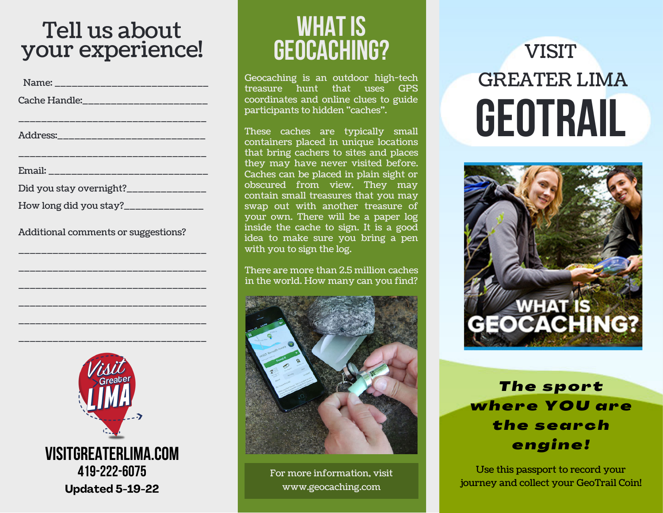#### Tell us about your experience!

| Name: _____________________________    |  |
|----------------------------------------|--|
| Cache Handle:_______________________   |  |
| ________________________________       |  |
| Address:______________________________ |  |
|                                        |  |
|                                        |  |
| Did you stay overnight?______________  |  |
| How long did you stay?_______________  |  |

Additional comments or suggestions?

\_\_\_\_\_\_\_\_\_\_\_\_\_\_\_\_\_\_\_\_\_\_\_\_\_\_\_\_\_\_\_\_\_

\_\_\_\_\_\_\_\_\_\_\_\_\_\_\_\_\_\_\_\_\_\_\_\_\_\_\_\_\_\_\_\_\_

\_\_\_\_\_\_\_\_\_\_\_\_\_\_\_\_\_\_\_\_\_\_\_\_\_\_\_\_\_\_\_\_\_

\_\_\_\_\_\_\_\_\_\_\_\_\_\_\_\_\_\_\_\_\_\_\_\_\_\_\_\_\_\_\_\_\_

\_\_\_\_\_\_\_\_\_\_\_\_\_\_\_\_\_\_\_\_\_\_\_\_\_\_\_\_\_\_\_\_\_

\_\_\_\_\_\_\_\_\_\_\_\_\_\_\_\_\_\_\_\_\_\_\_\_\_\_\_\_\_\_\_\_\_



## **WHAT IS geocaching?**

Geocaching is an outdoor high-tech treasure hunt that uses GPS coordinates and online clues to guide participants to hidden "caches".

These caches are typically small containers placed in unique locations that bring cachers to sites and places they may have never visited before. Caches can be placed in plain sight or obscured from view. They may contain small treasures that you may swap out with another treasure of your own. There will be a paper log inside the cache to sign. It is a good idea to make sure you bring a pen with you to sign the log.

There are more than 2.5 million caches in the world. How many can you find?



For more information, visit www.geocaching.com

# **GEoTRAIL** VISIT GREATER LIMA



*T h e s p o r t wh e r e YOU a r e t h e s e a r c h e n g i n e !*

Use this passport to record your journey and collect your GeoTrail Coin!